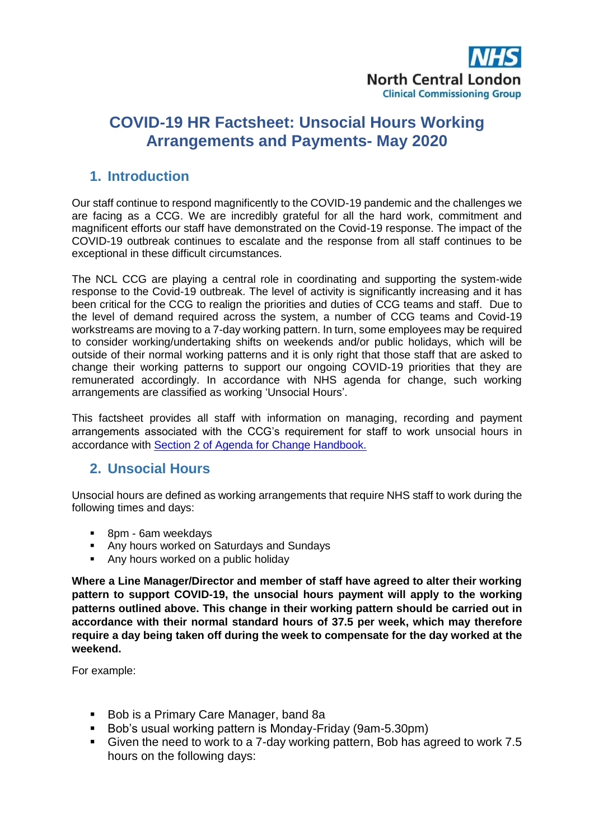

# **COVID-19 HR Factsheet: Unsocial Hours Working Arrangements and Payments- May 2020**

#### **1. Introduction**

Our staff continue to respond magnificently to the COVID-19 pandemic and the challenges we are facing as a CCG. We are incredibly grateful for all the hard work, commitment and magnificent efforts our staff have demonstrated on the Covid-19 response. The impact of the COVID-19 outbreak continues to escalate and the response from all staff continues to be exceptional in these difficult circumstances.

The NCL CCG are playing a central role in coordinating and supporting the system-wide response to the Covid-19 outbreak. The level of activity is significantly increasing and it has been critical for the CCG to realign the priorities and duties of CCG teams and staff. Due to the level of demand required across the system, a number of CCG teams and Covid-19 workstreams are moving to a 7-day working pattern. In turn, some employees may be required to consider working/undertaking shifts on weekends and/or public holidays, which will be outside of their normal working patterns and it is only right that those staff that are asked to change their working patterns to support our ongoing COVID-19 priorities that they are remunerated accordingly. In accordance with NHS agenda for change, such working arrangements are classified as working 'Unsocial Hours'.

This factsheet provides all staff with information on managing, recording and payment arrangements associated with the CCG's requirement for staff to work unsocial hours in accordance with [Section 2 of Agenda for Change Handbook.](https://www.nhsemployers.org/tchandbook/part-2-pay/section-2-maintaining-round-the-clock-services-england)

#### **2. Unsocial Hours**

Unsocial hours are defined as working arrangements that require NHS staff to work during the following times and days:

- **BDM** 6am weekdays
- Any hours worked on Saturdays and Sundays
- Any hours worked on a public holiday

**Where a Line Manager/Director and member of staff have agreed to alter their working pattern to support COVID-19, the unsocial hours payment will apply to the working patterns outlined above. This change in their working pattern should be carried out in accordance with their normal standard hours of 37.5 per week, which may therefore require a day being taken off during the week to compensate for the day worked at the weekend.** 

For example:

- Bob is a Primary Care Manager, band 8a
- Bob's usual working pattern is Monday-Friday (9am-5.30pm)
- Given the need to work to a 7-day working pattern, Bob has agreed to work 7.5 hours on the following days: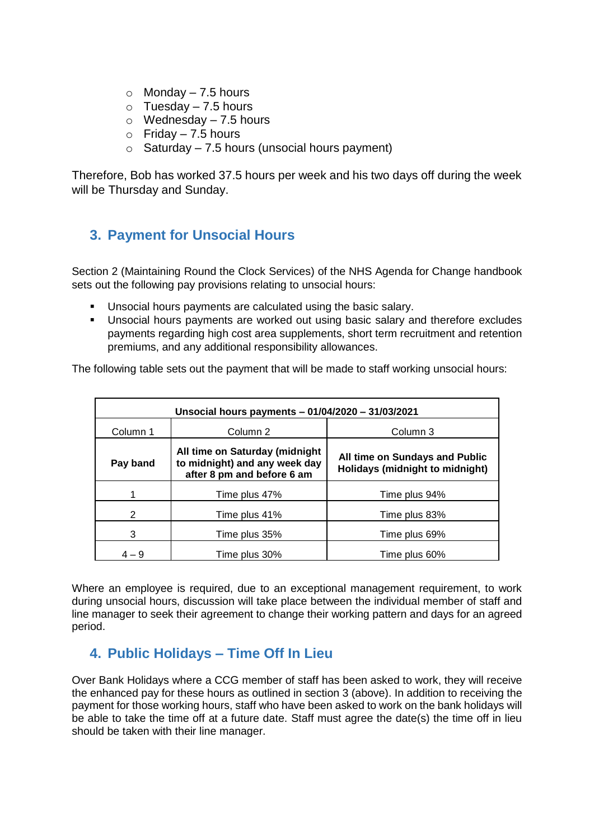- $\circ$  Monday 7.5 hours
- $\circ$  Tuesday 7.5 hours
- $\circ$  Wednesday 7.5 hours
- $\circ$  Friday 7.5 hours
- $\circ$  Saturday 7.5 hours (unsocial hours payment)

Therefore, Bob has worked 37.5 hours per week and his two days off during the week will be Thursday and Sunday.

## **3. Payment for Unsocial Hours**

Section 2 (Maintaining Round the Clock Services) of the NHS Agenda for Change handbook sets out the following pay provisions relating to unsocial hours:

- Unsocial hours payments are calculated using the basic salary.
- **Unsocial hours payments are worked out using basic salary and therefore excludes** payments regarding high cost area supplements, short term recruitment and retention premiums, and any additional responsibility allowances.

The following table sets out the payment that will be made to staff working unsocial hours:

| Unsocial hours payments - 01/04/2020 - 31/03/2021 |                                                                                               |                                                                   |  |
|---------------------------------------------------|-----------------------------------------------------------------------------------------------|-------------------------------------------------------------------|--|
| Column 1                                          | Column 2                                                                                      | Column 3                                                          |  |
| Pay band                                          | All time on Saturday (midnight<br>to midnight) and any week day<br>after 8 pm and before 6 am | All time on Sundays and Public<br>Holidays (midnight to midnight) |  |
|                                                   | Time plus 47%                                                                                 | Time plus 94%                                                     |  |
| 2                                                 | Time plus 41%                                                                                 | Time plus 83%                                                     |  |
| 3                                                 | Time plus 35%                                                                                 | Time plus 69%                                                     |  |
| $4 - 9$                                           | Time plus 30%                                                                                 | Time plus 60%                                                     |  |

Where an employee is required, due to an exceptional management requirement, to work during unsocial hours, discussion will take place between the individual member of staff and line manager to seek their agreement to change their working pattern and days for an agreed period.

## **4. Public Holidays – Time Off In Lieu**

Over Bank Holidays where a CCG member of staff has been asked to work, they will receive the enhanced pay for these hours as outlined in section 3 (above). In addition to receiving the payment for those working hours, staff who have been asked to work on the bank holidays will be able to take the time off at a future date. Staff must agree the date(s) the time off in lieu should be taken with their line manager.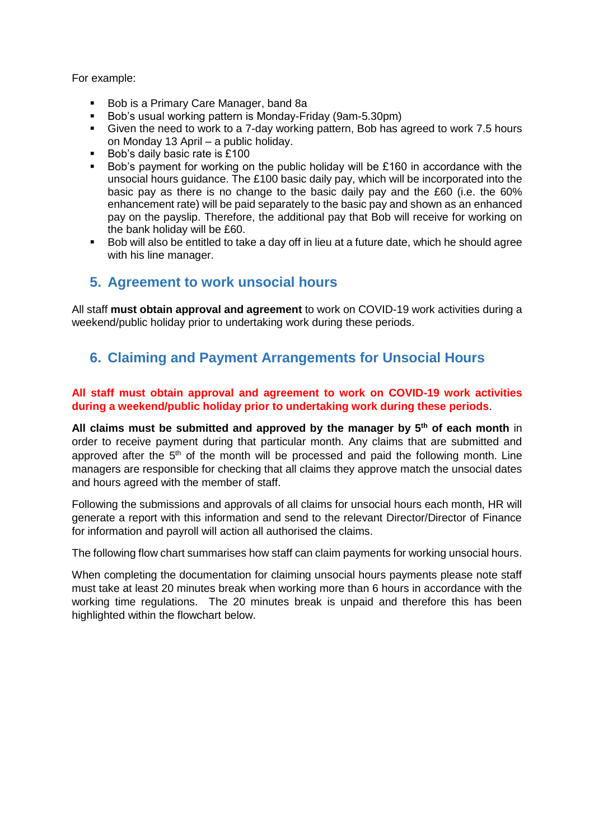For example:

- Bob is a Primary Care Manager, band 8a
- Bob's usual working pattern is Monday-Friday (9am-5.30pm)
- Given the need to work to a 7-day working pattern, Bob has agreed to work 7.5 hours on Monday 13 April – a public holiday.
- Bob's daily basic rate is £100
- Bob's payment for working on the public holiday will be £160 in accordance with the unsocial hours guidance. The £100 basic daily pay, which will be incorporated into the basic pay as there is no change to the basic daily pay and the £60 (i.e. the 60% enhancement rate) will be paid separately to the basic pay and shown as an enhanced pay on the payslip. Therefore, the additional pay that Bob will receive for working on the bank holiday will be £60.
- Bob will also be entitled to take a day off in lieu at a future date, which he should agree with his line manager.

#### **5. Agreement to work unsocial hours**

All staff **must obtain approval and agreement** to work on COVID-19 work activities during a weekend/public holiday prior to undertaking work during these periods.

## **6. Claiming and Payment Arrangements for Unsocial Hours**

#### **All staff must obtain approval and agreement to work on COVID-19 work activities during a weekend/public holiday prior to undertaking work during these periods**.

**All claims must be submitted and approved by the manager by 5th of each month** in order to receive payment during that particular month. Any claims that are submitted and approved after the  $5<sup>th</sup>$  of the month will be processed and paid the following month. Line managers are responsible for checking that all claims they approve match the unsocial dates and hours agreed with the member of staff.

Following the submissions and approvals of all claims for unsocial hours each month, HR will generate a report with this information and send to the relevant Director/Director of Finance for information and payroll will action all authorised the claims.

The following flow chart summarises how staff can claim payments for working unsocial hours.

When completing the documentation for claiming unsocial hours payments please note staff must take at least 20 minutes break when working more than 6 hours in accordance with the working time regulations. The 20 minutes break is unpaid and therefore this has been highlighted within the flowchart below.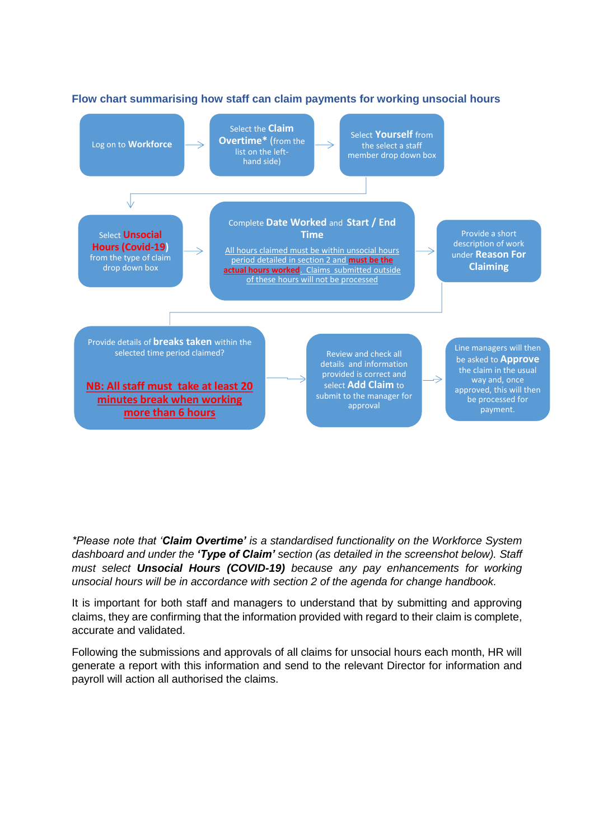

#### **Flow chart summarising how staff can claim payments for working unsocial hours**

*\*Please note that 'Claim Overtime' is a standardised functionality on the Workforce System dashboard and under the 'Type of Claim' section (as detailed in the screenshot below). Staff must select Unsocial Hours (COVID-19) because any pay enhancements for working unsocial hours will be in accordance with section 2 of the agenda for change handbook.*

It is important for both staff and managers to understand that by submitting and approving claims, they are confirming that the information provided with regard to their claim is complete, accurate and validated.

Following the submissions and approvals of all claims for unsocial hours each month, HR will generate a report with this information and send to the relevant Director for information and payroll will action all authorised the claims.